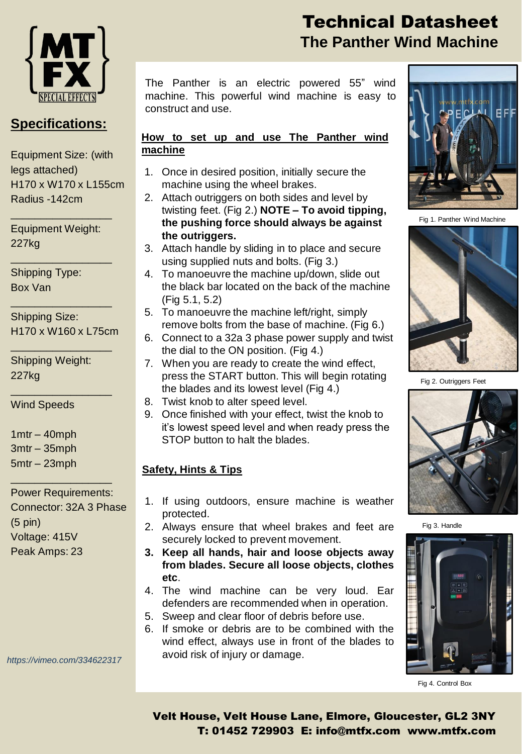

### **Specifications:**

Equipment Size: (with legs attached) H170 x W170 x L155cm Radius -142cm

Equipment Weight: 227kg

\_\_\_\_\_\_\_\_\_\_\_\_\_\_\_\_\_

\_\_\_\_\_\_\_\_\_\_\_\_\_\_\_\_\_

\_\_\_\_\_\_\_\_\_\_\_\_\_\_\_\_\_

\_\_\_\_\_\_\_\_\_\_\_\_\_\_\_\_\_

\_\_\_\_\_\_\_\_\_\_\_\_\_\_\_\_\_

Shipping Type: Box Van

Shipping Size: H170 x W160 x L75cm

Shipping Weight: 227kg

Wind Speeds

1mtr – 40mph 3mtr – 35mph 5mtr – 23mph

Power Requirements: Connector: 32A 3 Phase (5 pin) Voltage: 415V Peak Amps: 23

\_\_\_\_\_\_\_\_\_\_\_\_\_\_\_\_\_

*https://vimeo.com/334622317*

# Technical Datasheet **The Panther Wind Machine**

The Panther is an electric powered 55" wind machine. This powerful wind machine is easy to construct and use.

#### **How to set up and use The Panther wind machine**

- 1. Once in desired position, initially secure the machine using the wheel brakes.
- 2. Attach outriggers on both sides and level by twisting feet. (Fig 2.) **NOTE – To avoid tipping, the pushing force should always be against the outriggers.**
- 3. Attach handle by sliding in to place and secure using supplied nuts and bolts. (Fig 3.)
- 4. To manoeuvre the machine up/down, slide out the black bar located on the back of the machine (Fig 5.1, 5.2)
- 5. To manoeuvre the machine left/right, simply remove bolts from the base of machine. (Fig 6.)
- 6. Connect to a 32a 3 phase power supply and twist the dial to the ON position. (Fig 4.)
- 7. When you are ready to create the wind effect, press the START button. This will begin rotating the blades and its lowest level (Fig 4.)
- 8. Twist knob to alter speed level.
- 9. Once finished with your effect, twist the knob to it's lowest speed level and when ready press the STOP button to halt the blades.

### **Safety, Hints & Tips**

- 1. If using outdoors, ensure machine is weather protected.
- 2. Always ensure that wheel brakes and feet are securely locked to prevent movement.
- **3. Keep all hands, hair and loose objects away from blades. Secure all loose objects, clothes etc**.
- 4. The wind machine can be very loud. Ear defenders are recommended when in operation.
- 5. Sweep and clear floor of debris before use.
- 6. If smoke or debris are to be combined with the wind effect, always use in front of the blades to avoid risk of injury or damage.



Fig 1. Panther Wind Machine



Fig 2. Outriggers Feet



Fig 3. Handle



Fig 4. Control Box